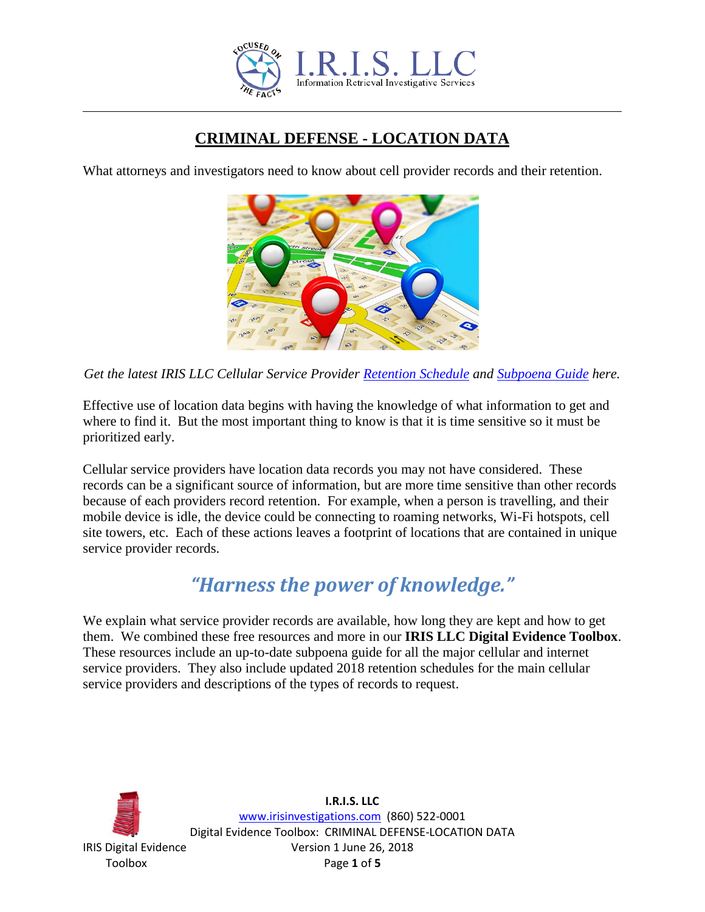

# **CRIMINAL DEFENSE - LOCATION DATA**

What attorneys and investigators need to know about cell provider records and their retention.



*Get the latest IRIS LLC Cellular Service Provider [Retention Schedule](http://www.irisinvestigations.com/wordpress/digital-evidence-retention-schedules/) and [Subpoena Guide](http://www.irisinvestigations.com/wordpress/digital-evidence-subpoena-guide-and-samples/) here.*

Effective use of location data begins with having the knowledge of what information to get and where to find it. But the most important thing to know is that it is time sensitive so it must be prioritized early.

Cellular service providers have location data records you may not have considered. These records can be a significant source of information, but are more time sensitive than other records because of each providers record retention. For example, when a person is travelling, and their mobile device is idle, the device could be connecting to roaming networks, Wi-Fi hotspots, cell site towers, etc. Each of these actions leaves a footprint of locations that are contained in unique service provider records.

# *"Harness the power of knowledge."*

We explain what service provider records are available, how long they are kept and how to get them. We combined these free resources and more in our **IRIS LLC Digital Evidence Toolbox**. These resources include an up-to-date subpoena guide for all the major cellular and internet service providers. They also include updated 2018 retention schedules for the main cellular service providers and descriptions of the types of records to request.

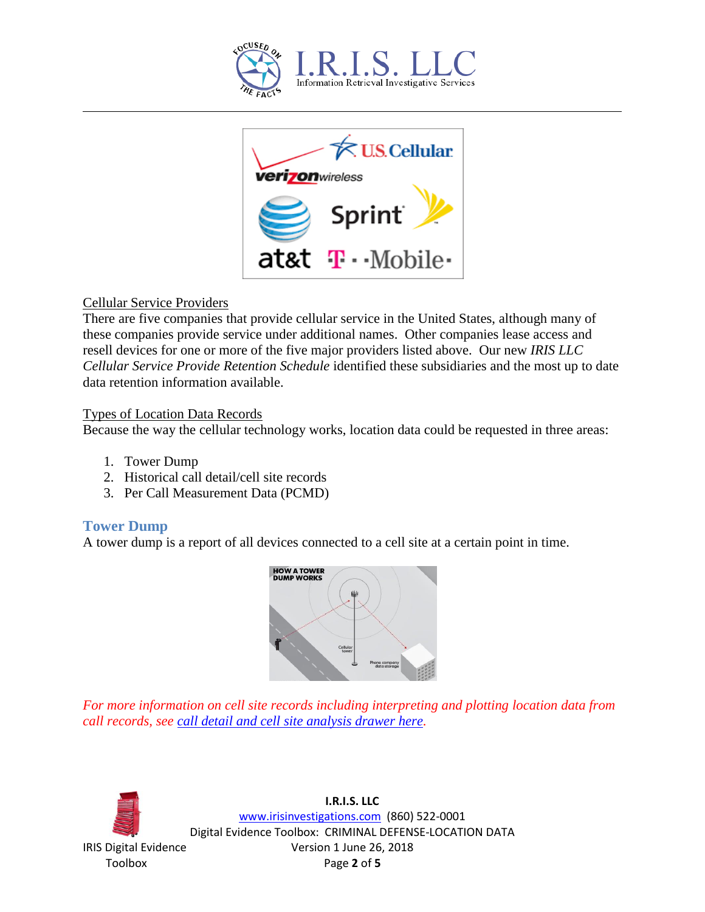



#### Cellular Service Providers

There are five companies that provide cellular service in the United States, although many of these companies provide service under additional names. Other companies lease access and resell devices for one or more of the five major providers listed above. Our new *IRIS LLC Cellular Service Provide Retention Schedule* identified these subsidiaries and the most up to date data retention information available.

#### Types of Location Data Records

Because the way the cellular technology works, location data could be requested in three areas:

- 1. Tower Dump
- 2. Historical call detail/cell site records
- 3. Per Call Measurement Data (PCMD)

# **Tower Dump**

A tower dump is a report of all devices connected to a cell site at a certain point in time.



*For more information on cell site records including interpreting and plotting location data from call records, see [call detail and cell site analysis drawer here.](http://www.irisinvestigations.com/wordpress/call-detail-and-cell-site-analysis/)* 

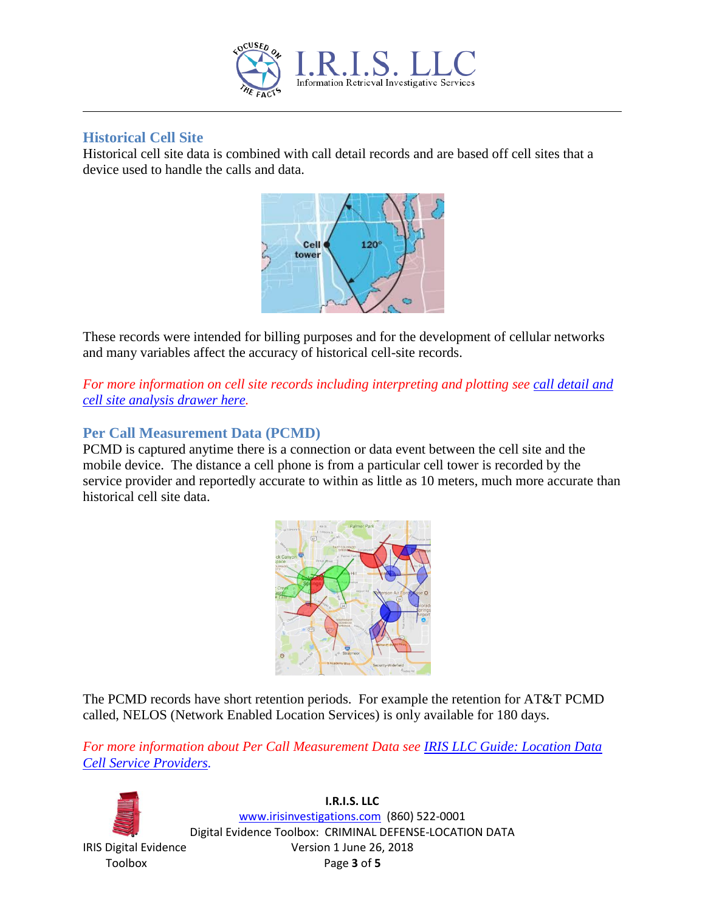

#### **Historical Cell Site**

Historical cell site data is combined with call detail records and are based off cell sites that a device used to handle the calls and data.



These records were intended for billing purposes and for the development of cellular networks and many variables affect the accuracy of historical cell-site records.

*For more information on cell site records including interpreting and plotting see [call detail and](http://www.irisinvestigations.com/wordpress/call-detail-and-cell-site-analysis/)  [cell site analysis drawer here.](http://www.irisinvestigations.com/wordpress/call-detail-and-cell-site-analysis/)* 

# **Per Call Measurement Data (PCMD)**

PCMD is captured anytime there is a connection or data event between the cell site and the mobile device. The distance a cell phone is from a particular cell tower is recorded by the service provider and reportedly accurate to within as little as 10 meters, much more accurate than historical cell site data.



The PCMD records have short retention periods. For example the retention for AT&T PCMD called, NELOS (Network Enabled Location Services) is only available for 180 days.

*For more information about Per Call Measurement Data see [IRIS LLC Guide: Location Data](http://www.irisinvestigations.com/wordpress/wp-content/uploads/2018/06/LOCATION-DATA-CELL-SERVICE-PROVIDERS.pdf)  [Cell Service Providers.](http://www.irisinvestigations.com/wordpress/wp-content/uploads/2018/06/LOCATION-DATA-CELL-SERVICE-PROVIDERS.pdf)*

**I.R.I.S. LLC** www.irisinvestigations.com (860) 522-0001 Digital Evidence Toolbox: CRIMINAL DEFENSE-LOCATION DATA IRIS Digital Evidence Version 1 June 26, 2018 Toolbox Page **3** of **5**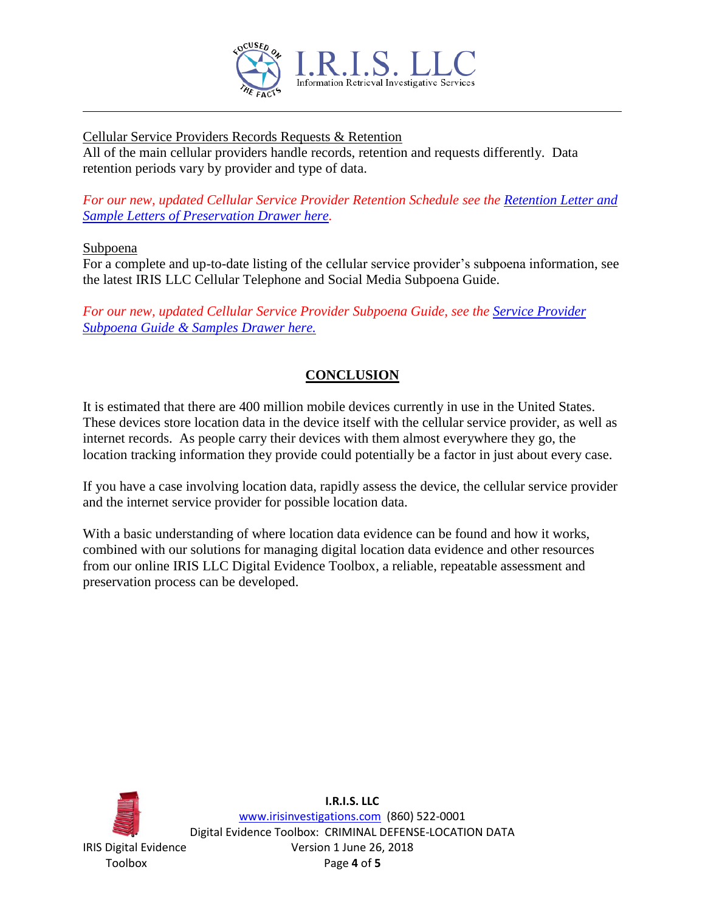

#### Cellular Service Providers Records Requests & Retention

All of the main cellular providers handle records, retention and requests differently. Data retention periods vary by provider and type of data.

*For our new, updated Cellular Service Provider Retention Schedule see the [Retention Letter and](http://www.irisinvestigations.com/wordpress/digital-evidence-retention-schedules/)  [Sample Letters of Preservation Drawer here.](http://www.irisinvestigations.com/wordpress/digital-evidence-retention-schedules/)* 

#### Subpoena

For a complete and up-to-date listing of the cellular service provider's subpoena information, see the latest IRIS LLC Cellular Telephone and Social Media Subpoena Guide.

*For our new, updated Cellular Service Provider Subpoena Guide, see the [Service Provider](http://www.irisinvestigations.com/wordpress/digital-evidence-subpoena-guide-and-samples/)  [Subpoena Guide & Samples Drawer here.](http://www.irisinvestigations.com/wordpress/digital-evidence-subpoena-guide-and-samples/)*

# **CONCLUSION**

It is estimated that there are 400 million mobile devices currently in use in the United States. These devices store location data in the device itself with the cellular service provider, as well as internet records. As people carry their devices with them almost everywhere they go, the location tracking information they provide could potentially be a factor in just about every case.

If you have a case involving location data, rapidly assess the device, the cellular service provider and the internet service provider for possible location data.

With a basic understanding of where location data evidence can be found and how it works, combined with our solutions for managing digital location data evidence and other resources from our online IRIS LLC Digital Evidence Toolbox, a reliable, repeatable assessment and preservation process can be developed.